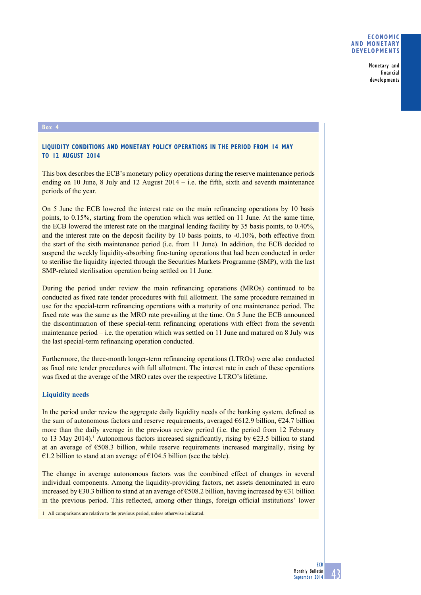Monetary and financial developments

### **Box 4**

# **Liquidity conditions and monetary policy operations in the period from 14 May to 12 August 2014**

This box describes the ECB's monetary policy operations during the reserve maintenance periods ending on 10 June, 8 July and 12 August  $2014 - i.e.$  the fifth, sixth and seventh maintenance periods of the year.

On 5 June the ECB lowered the interest rate on the main refinancing operations by 10 basis points, to 0.15%, starting from the operation which was settled on 11 June. At the same time, the ECB lowered the interest rate on the marginal lending facility by 35 basis points, to 0.40%, and the interest rate on the deposit facility by 10 basis points, to -0.10%, both effective from the start of the sixth maintenance period (i.e. from 11 June). In addition, the ECB decided to suspend the weekly liquidity-absorbing fine-tuning operations that had been conducted in order to sterilise the liquidity injected through the Securities Markets Programme (SMP), with the last SMP-related sterilisation operation being settled on 11 June.

During the period under review the main refinancing operations (MROs) continued to be conducted as fixed rate tender procedures with full allotment. The same procedure remained in use for the special-term refinancing operations with a maturity of one maintenance period. The fixed rate was the same as the MRO rate prevailing at the time. On 5 June the ECB announced the discontinuation of these special-term refinancing operations with effect from the seventh maintenance period  $-$  i.e. the operation which was settled on 11 June and matured on 8 July was the last special-term refinancing operation conducted.

Furthermore, the three-month longer-term refinancing operations (LTROs) were also conducted as fixed rate tender procedures with full allotment. The interest rate in each of these operations was fixed at the average of the MRO rates over the respective LTRO's lifetime.

### **Liquidity needs**

In the period under review the aggregate daily liquidity needs of the banking system, defined as the sum of autonomous factors and reserve requirements, averaged  $6612.9$  billion,  $624.7$  billion more than the daily average in the previous review period (i.e. the period from 12 February to 13 May 2014).<sup>1</sup> Autonomous factors increased significantly, rising by  $\epsilon$ 23.5 billion to stand at an average of €508.3 billion, while reserve requirements increased marginally, rising by  $€1.2$  billion to stand at an average of €104.5 billion (see the table).

The change in average autonomous factors was the combined effect of changes in several individual components. Among the liquidity-providing factors, net assets denominated in euro increased by  $\epsilon$ 30.3 billion to stand at an average of  $\epsilon$ 508.2 billion, having increased by  $\epsilon$ 31 billion in the previous period. This reflected, among other things, foreign official institutions' lower

1 All comparisons are relative to the previous period, unless otherwise indicated.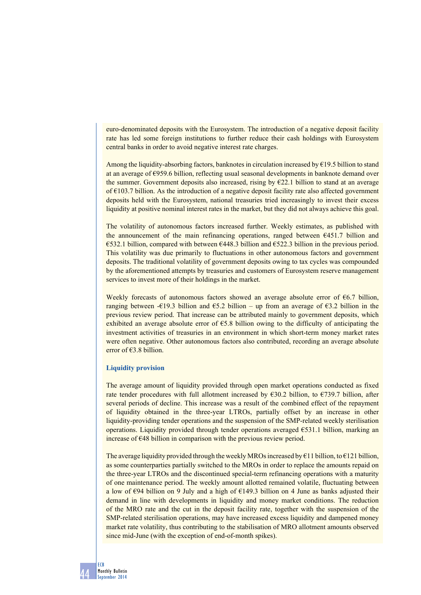euro-denominated deposits with the Eurosystem. The introduction of a negative deposit facility rate has led some foreign institutions to further reduce their cash holdings with Eurosystem central banks in order to avoid negative interest rate charges.

Among the liquidity-absorbing factors, banknotes in circulation increased by  $\epsilon$ 19.5 billion to stand at an average of €959.6 billion, reflecting usual seasonal developments in banknote demand over the summer. Government deposits also increased, rising by  $E22.1$  billion to stand at an average of €103.7 billion. As the introduction of a negative deposit facility rate also affected government deposits held with the Eurosystem, national treasuries tried increasingly to invest their excess liquidity at positive nominal interest rates in the market, but they did not always achieve this goal.

The volatility of autonomous factors increased further. Weekly estimates, as published with the announcement of the main refinancing operations, ranged between €451.7 billion and  $\epsilon$ 532.1 billion, compared with between  $\epsilon$ 448.3 billion and  $\epsilon$ 522.3 billion in the previous period. This volatility was due primarily to fluctuations in other autonomous factors and government deposits. The traditional volatility of government deposits owing to tax cycles was compounded by the aforementioned attempts by treasuries and customers of Eurosystem reserve management services to invest more of their holdings in the market.

Weekly forecasts of autonomous factors showed an average absolute error of €6.7 billion, ranging between -€19.3 billion and  $65.2$  billion – up from an average of  $63.2$  billion in the previous review period. That increase can be attributed mainly to government deposits, which exhibited an average absolute error of  $\epsilon$ 5.8 billion owing to the difficulty of anticipating the investment activities of treasuries in an environment in which short-term money market rates were often negative. Other autonomous factors also contributed, recording an average absolute error of €3.8 billion.

## **Liquidity provision**

The average amount of liquidity provided through open market operations conducted as fixed rate tender procedures with full allotment increased by  $\epsilon$ 30.2 billion, to  $\epsilon$ 739.7 billion, after several periods of decline. This increase was a result of the combined effect of the repayment of liquidity obtained in the three-year LTROs, partially offset by an increase in other liquidity-providing tender operations and the suspension of the SMP-related weekly sterilisation operations. Liquidity provided through tender operations averaged  $\epsilon$ 531.1 billion, marking an increase of €48 billion in comparison with the previous review period.

The average liquidity provided through the weekly MROs increased by  $\epsilon$ 11 billion, to  $\epsilon$ 121 billion, as some counterparties partially switched to the MROs in order to replace the amounts repaid on the three-year LTROs and the discontinued special-term refinancing operations with a maturity of one maintenance period. The weekly amount allotted remained volatile, fluctuating between a low of  $\epsilon$ 94 billion on 9 July and a high of  $\epsilon$ 149.3 billion on 4 June as banks adjusted their demand in line with developments in liquidity and money market conditions. The reduction of the MRO rate and the cut in the deposit facility rate, together with the suspension of the SMP-related sterilisation operations, may have increased excess liquidity and dampened money market rate volatility, thus contributing to the stabilisation of MRO allotment amounts observed since mid-June (with the exception of end-of-month spikes).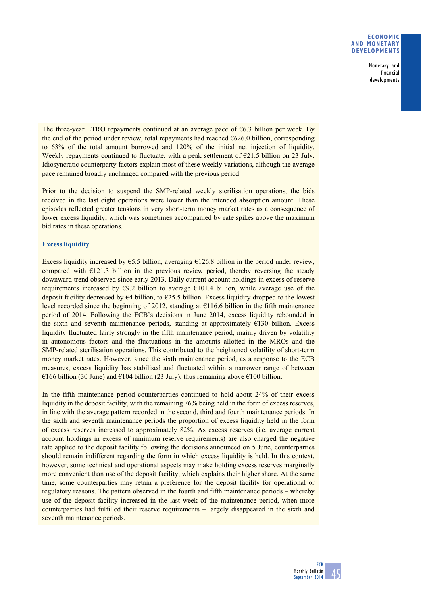## **Economic and monetary developments**

Monetary and financial developments

The three-year LTRO repayments continued at an average pace of  $\epsilon$ 6.3 billion per week. By the end of the period under review, total repayments had reached  $6626.0$  billion, corresponding to 63% of the total amount borrowed and 120% of the initial net injection of liquidity. Weekly repayments continued to fluctuate, with a peak settlement of  $\epsilon$ 21.5 billion on 23 July. Idiosyncratic counterparty factors explain most of these weekly variations, although the average pace remained broadly unchanged compared with the previous period.

Prior to the decision to suspend the SMP-related weekly sterilisation operations, the bids received in the last eight operations were lower than the intended absorption amount. These episodes reflected greater tensions in very short-term money market rates as a consequence of lower excess liquidity, which was sometimes accompanied by rate spikes above the maximum bid rates in these operations.

# **Excess liquidity**

Excess liquidity increased by  $\epsilon$ 5.5 billion, averaging  $\epsilon$ 126.8 billion in the period under review, compared with  $E121.3$  billion in the previous review period, thereby reversing the steady downward trend observed since early 2013. Daily current account holdings in excess of reserve requirements increased by  $\epsilon$ 9.2 billion to average  $\epsilon$ 101.4 billion, while average use of the deposit facility decreased by  $64$  billion, to  $625.5$  billion. Excess liquidity dropped to the lowest level recorded since the beginning of 2012, standing at €116.6 billion in the fifth maintenance period of 2014. Following the ECB's decisions in June 2014, excess liquidity rebounded in the sixth and seventh maintenance periods, standing at approximately  $\epsilon$ 130 billion. Excess liquidity fluctuated fairly strongly in the fifth maintenance period, mainly driven by volatility in autonomous factors and the fluctuations in the amounts allotted in the MROs and the SMP-related sterilisation operations. This contributed to the heightened volatility of short-term money market rates. However, since the sixth maintenance period, as a response to the ECB measures, excess liquidity has stabilised and fluctuated within a narrower range of between  $\epsilon$ 166 billion (30 June) and  $\epsilon$ 104 billion (23 July), thus remaining above  $\epsilon$ 100 billion.

In the fifth maintenance period counterparties continued to hold about 24% of their excess liquidity in the deposit facility, with the remaining 76% being held in the form of excess reserves, in line with the average pattern recorded in the second, third and fourth maintenance periods. In the sixth and seventh maintenance periods the proportion of excess liquidity held in the form of excess reserves increased to approximately 82%. As excess reserves (i.e. average current account holdings in excess of minimum reserve requirements) are also charged the negative rate applied to the deposit facility following the decisions announced on 5 June, counterparties should remain indifferent regarding the form in which excess liquidity is held. In this context, however, some technical and operational aspects may make holding excess reserves marginally more convenient than use of the deposit facility, which explains their higher share. At the same time, some counterparties may retain a preference for the deposit facility for operational or regulatory reasons. The pattern observed in the fourth and fifth maintenance periods – whereby use of the deposit facility increased in the last week of the maintenance period, when more counterparties had fulfilled their reserve requirements – largely disappeared in the sixth and seventh maintenance periods.